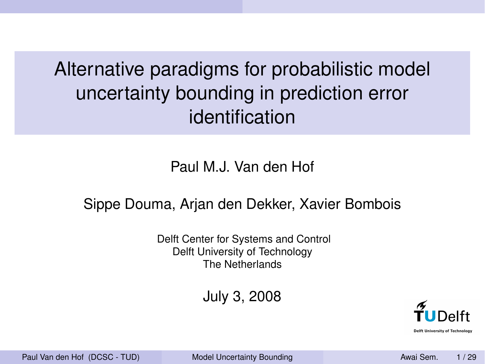Alternative paradigms for probabilistic model uncertainty bounding in prediction error identification

Paul M.J. Van den Hof

#### Sippe Douma, Arjan den Dekker, Xavier Bombois

Delft Center for Systems and Control Delft University of Technology The Netherlands

July 3, 2008



Paul Van den Hof (DCSC - TUD) Model Uncertainty Bounding New York News Sem. 1/29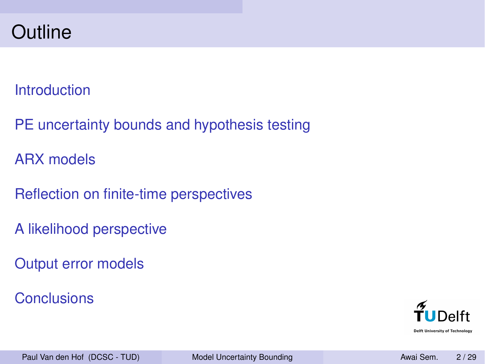## **Outline**

#### **Introduction**

PE uncertainty bounds and hypothesis testing

ARX models

Reflection on finite-time perspectives

A likelihood perspective

Output error models

**Conclusions** 



Paul Van den Hof (DCSC - TUD) Model Uncertainty Bounding Awai Sem. 2 / 29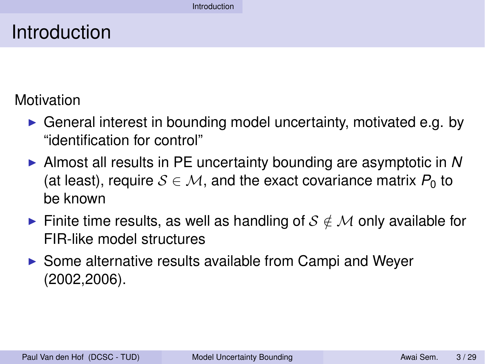## Introduction

Motivation

- $\triangleright$  General interest in bounding model uncertainty, motivated e.g. by "identification for control"
- ► Almost all results in PE uncertainty bounding are asymptotic in N (at least), require  $S \in \mathcal{M}$ , and the exact covariance matrix  $P_0$  to be known
- Finite time results, as well as handling of  $S \notin \mathcal{M}$  only available for FIR-like model structures
- $\triangleright$  Some alternative results available from Campi and Weyer (2002,2006).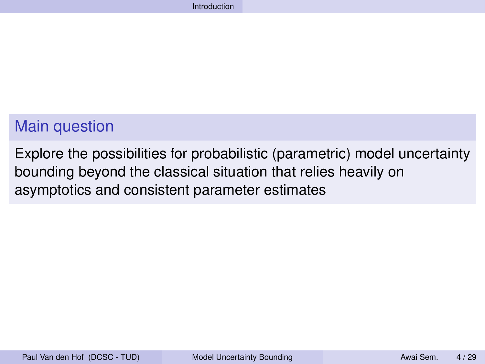### Main question

Explore the possibilities for probabilistic (parametric) model uncertainty bounding beyond the classical situation that relies heavily on asymptotics and consistent parameter estimates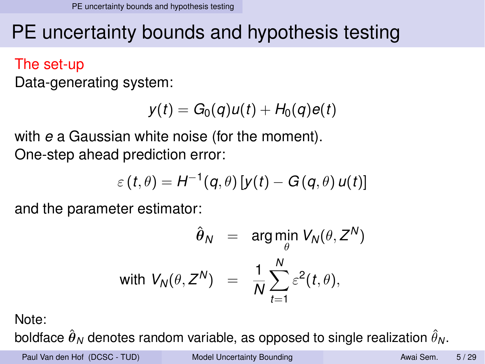## PE uncertainty bounds and hypothesis testing

#### The set-up

Data-generating system:

$$
y(t) = G_0(q)u(t) + H_0(q)e(t)
$$

with *e* a Gaussian white noise (for the moment). One-step ahead prediction error:

$$
\varepsilon(t,\theta) = H^{-1}(q,\theta) \left[ y(t) - G(q,\theta) \, u(t) \right]
$$

and the parameter estimator:

$$
\hat{\theta}_N = \arg \min_{\theta} V_N(\theta, Z^N)
$$
  
with  $V_N(\theta, Z^N) = \frac{1}{N} \sum_{t=1}^N \varepsilon^2(t, \theta),$ 

Note:

boldface  $\hat{\bm{\theta}}_{{\sf{N}}}$  denotes random variable, as opposed to single realization  $\hat{\theta}_{{\sf{N}}}$ .

Paul Van den Hof (DCSC - TUD) Model Uncertainty Bounding Number 1995 Awai Sem. 5/29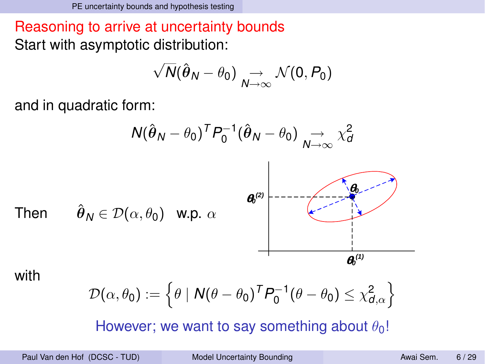Reasoning to arrive at uncertainty bounds Start with asymptotic distribution:

$$
\sqrt{N}(\hat{\theta}_N-\theta_0)\underset{N\to\infty}{\to}\mathcal{N}(0,P_0)
$$

and in quadratic form:

$$
N(\hat{\theta}_N - \theta_0)^T P_0^{-1}(\hat{\theta}_N - \theta_0) \underset{N \to \infty}{\to} \chi_d^2
$$

Then  $\hat{\theta}_N \in \mathcal{D}(\alpha, \theta_0)$  w.p.  $\alpha$ 



with

$$
\mathcal{D}(\alpha,\theta_0) := \left\{\theta \mid \mathbf{N}(\theta - \theta_0)^T \mathbf{P}_0^{-1}(\theta - \theta_0) \leq \chi^2_{d,\alpha}\right\}
$$

However; we want to say something about  $\theta_0!$ 

Paul Van den Hof (DCSC - TUD) Model Uncertainty Bounding Awai Sem. 6/29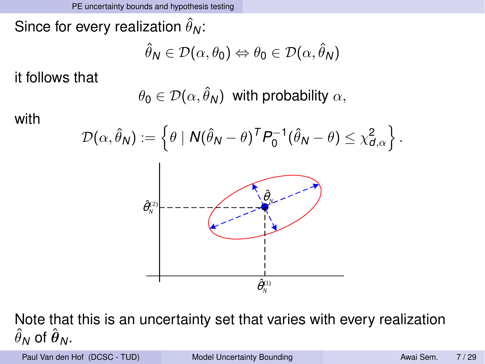Since for every realization  $\hat{\theta}_{{\sf N}}$ :

$$
\hat{\theta}_N \in \mathcal{D}(\alpha, \theta_0) \Leftrightarrow \theta_0 \in \mathcal{D}(\alpha, \hat{\theta}_N)
$$

it follows that

$$
\theta_0\in \mathcal{D}(\alpha,\hat{\theta}_N) \ \ \text{with probability}\ \alpha,
$$

with



Note that this is an uncertainty set that varies with every realization  $\hat{\theta}_N$  of  $\hat{\boldsymbol{\theta}}_N$ .

Paul Van den Hof (DCSC - TUD) Model Uncertainty Bounding Awai Sem. 7/29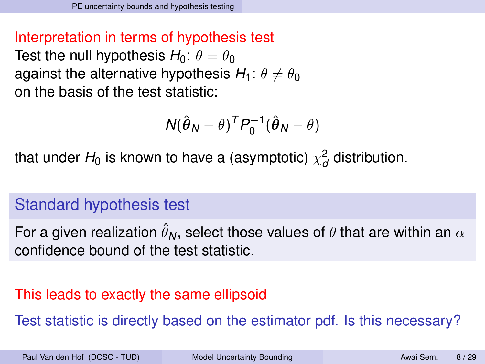#### Interpretation in terms of hypothesis test Test the null hypothesis  $H_0$ :  $\theta = \theta_0$ against the alternative hypothesis  $H_1: \theta \neq \theta_0$ on the basis of the test statistic:

$$
N(\hat{\boldsymbol{\theta}}_N - \boldsymbol{\theta})^T P_0^{-1}(\hat{\boldsymbol{\theta}}_N - \boldsymbol{\theta})
$$

that under  $H_0$  is known to have a (asymptotic)  $\chi_d^2$  distribution.

### Standard hypothesis test

For a given realization  $\hat{\theta}_N$ , select those values of  $\theta$  that are within an  $\alpha$ confidence bound of the test statistic.

### This leads to exactly the same ellipsoid

Test statistic is directly based on the estimator pdf. Is this necessary?

Paul Van den Hof (DCSC - TUD) Model Uncertainty Bounding New York New York Awai Sem. 8/29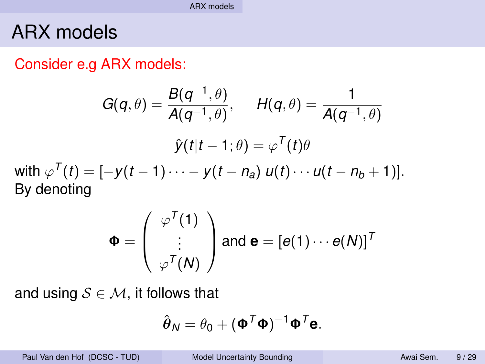## ARX models

#### Consider e.g ARX models:

$$
G(q, \theta) = \frac{B(q^{-1}, \theta)}{A(q^{-1}, \theta)}, \qquad H(q, \theta) = \frac{1}{A(q^{-1}, \theta)}
$$

$$
\hat{y}(t|t-1; \theta) = \varphi^{T}(t)\theta
$$
with  $\varphi^{T}(t) = [-y(t-1)\cdots - y(t-n_{a}) u(t) \cdots u(t-n_{b}+1)].$   
By denoting

$$
\Phi = \left(\begin{array}{c} \varphi^{\mathcal{T}}(1) \\ \vdots \\ \varphi^{\mathcal{T}}(N) \end{array}\right) \text{ and } \mathbf{e} = \left[e(1) \cdots e(N)\right]^{\mathcal{T}}
$$

and using  $S \in \mathcal{M}$ , it follows that

$$
\hat{\boldsymbol{\theta}}_N = \theta_0 + (\mathbf{\Phi}^T \mathbf{\Phi})^{-1} \mathbf{\Phi}^T \mathbf{e}.
$$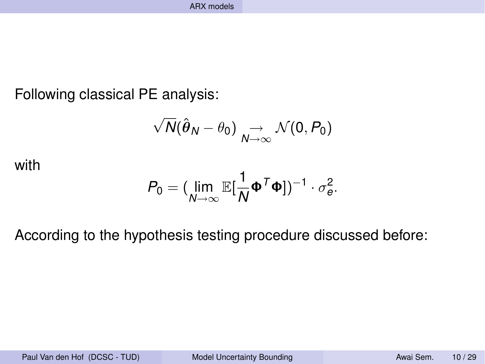Following classical PE analysis:

$$
\sqrt{N}(\hat{\boldsymbol{\theta}}_N - \theta_0) \underset{N \to \infty}{\to} \mathcal{N}(0, P_0)
$$

with

$$
P_0 = (\lim_{N\to\infty} \mathbb{E}[\frac{1}{N}\boldsymbol{\Phi}^T\boldsymbol{\Phi}])^{-1}\cdot \sigma_e^2.
$$

According to the hypothesis testing procedure discussed before:

Paul Van den Hof (DCSC - TUD) Model Uncertainty Bounding Number 2014 Awai Sem. 10 / 29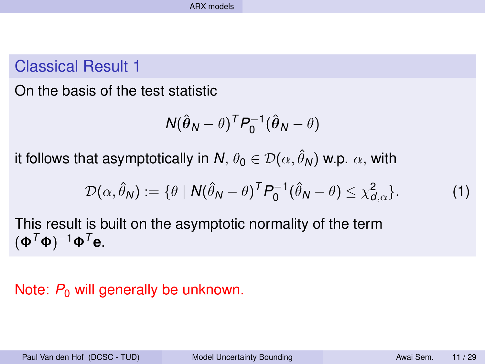### Classical Result 1

On the basis of the test statistic

$$
N(\hat{\boldsymbol{\theta}}_N - \theta)^T P_0^{-1}(\hat{\boldsymbol{\theta}}_N - \theta)
$$

it follows that asymptotically in  $N$ ,  $\theta_0 \in \mathcal{D}(\alpha, \hat{\theta}_N)$  w.p.  $\alpha$ , with

$$
\mathcal{D}(\alpha, \hat{\theta}_N) := \{ \theta \mid N(\hat{\theta}_N - \theta)^T P_0^{-1} (\hat{\theta}_N - \theta) \leq \chi^2_{d,\alpha} \}. \tag{1}
$$

This result is built on the asymptotic normality of the term  $(Φ<sup>T</sup>Φ)<sup>-1</sup>Φ<sup>T</sup>$ e.

#### Note:  $P_0$  will generally be unknown.

Paul Van den Hof (DCSC - TUD) Model Uncertainty Bounding New Awai Sem. 11/29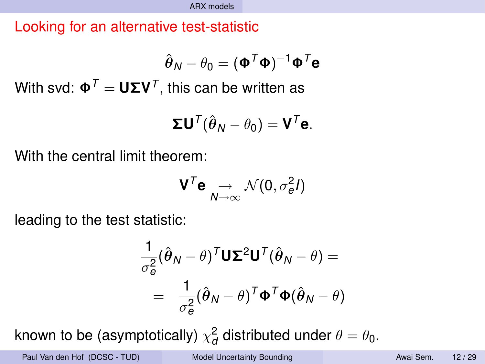Looking for an alternative test-statistic

$$
\hat{\boldsymbol{\theta}}_{\boldsymbol{N}}-\theta_{\boldsymbol{0}}=(\boldsymbol{\Phi}^{\boldsymbol{\mathcal{T}}}\boldsymbol{\Phi})^{-1}\boldsymbol{\Phi}^{\boldsymbol{\mathcal{T}}}\boldsymbol{\mathsf{e}}
$$

 $W$ ith svd:  $\mathbf{\Phi}^{\mathcal{T}} = \mathbf{U} \mathbf{\Sigma} \mathbf{V}^{\mathcal{T}},$  this can be written as

$$
\Sigma \mathbf{U}^T(\hat{\boldsymbol{\theta}}_N - \theta_0) = \mathbf{V}^T \mathbf{e}.
$$

With the central limit theorem:

$$
\mathbf{V}^T \mathbf{e} \underset{N \to \infty}{\to} \mathcal{N}(0, \sigma_e^2 I)
$$

leading to the test statistic:

$$
\frac{1}{\sigma_e^2} (\hat{\boldsymbol{\theta}}_N - \boldsymbol{\theta})^T \mathbf{U} \mathbf{\Sigma}^2 \mathbf{U}^T (\hat{\boldsymbol{\theta}}_N - \boldsymbol{\theta}) =
$$
\n
$$
= \frac{1}{\sigma_e^2} (\hat{\boldsymbol{\theta}}_N - \boldsymbol{\theta})^T \mathbf{\Phi}^T \mathbf{\Phi} (\hat{\boldsymbol{\theta}}_N - \boldsymbol{\theta})
$$

known to be (asymptotically)  $\chi_{\bm d}^{\bm 2}$  distributed under  $\theta=\theta_{\bm 0}.$ 

Paul Van den Hof (DCSC - TUD) Model Uncertainty Bounding Number 2014 Awai Sem. 12/29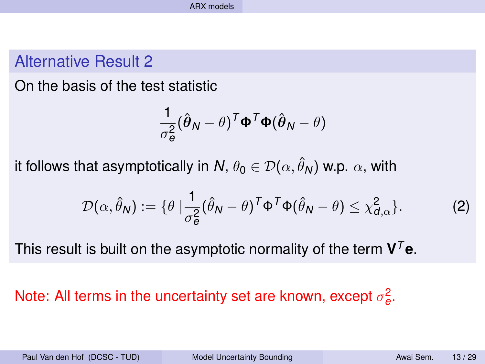#### Alternative Result 2

On the basis of the test statistic

$$
\frac{1}{\sigma_e^2}(\hat{\boldsymbol{\theta}}_N - \boldsymbol{\theta})^T \boldsymbol{\Phi}^T \boldsymbol{\Phi} (\hat{\boldsymbol{\theta}}_N - \boldsymbol{\theta})
$$

it follows that asymptotically in  $\mathcal{N},\,\theta_0\in\mathcal{D}(\alpha,\hat{\theta}_\mathcal{N})$  w.p.  $\alpha,$  with

$$
\mathcal{D}(\alpha,\hat{\theta}_N) := \{\theta \mid \frac{1}{\sigma_{\theta}^2} (\hat{\theta}_N - \theta)^T \Phi^T \Phi (\hat{\theta}_N - \theta) \leq \chi_{d,\alpha}^2\}.
$$
 (2)

This result is built on the asymptotic normality of the term  $V<sup>T</sup>e$ .

## Note: All terms in the uncertainty set are known, except  $\sigma_{\mathbf{e}}^2$ .

Paul Van den Hof (DCSC - TUD) Model Uncertainty Bounding Awai Sem. 13/29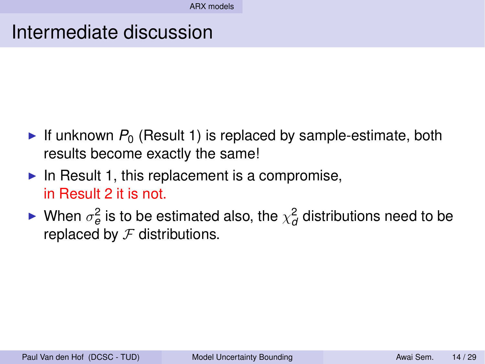## Intermediate discussion

- If unknown  $P_0$  (Result 1) is replaced by sample-estimate, both results become exactly the same!
- In Result 1, this replacement is a compromise, in Result 2 it is not.
- ► When  $\sigma_e^2$  is to be estimated also, the  $\chi^2_{\sigma}$  distributions need to be replaced by  $\mathcal F$  distributions.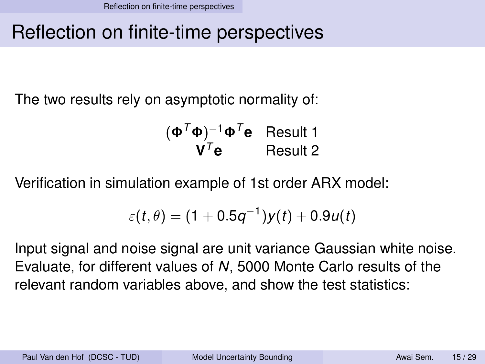## Reflection on finite-time perspectives

The two results rely on asymptotic normality of:

$$
(\Phi^T \Phi)^{-1} \Phi^T e
$$
 Result 1  
 $V^T e$  Result 2

Verification in simulation example of 1st order ARX model:

$$
\varepsilon(t,\theta)=(1+0.5q^{-1})y(t)+0.9u(t)
$$

Input signal and noise signal are unit variance Gaussian white noise. Evaluate, for different values of *N*, 5000 Monte Carlo results of the relevant random variables above, and show the test statistics:

Paul Van den Hof (DCSC - TUD) Model Uncertainty Bounding Awai Sem. 15/29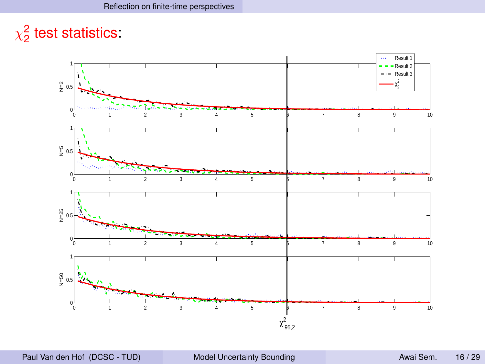## $\chi^2$  test statistics:

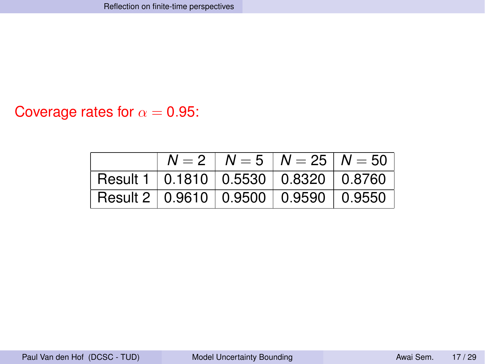#### Coverage rates for  $\alpha = 0.95$ :

|                                                  |  | $N = 2$   $N = 5$   $N = 25$   $N = 50$ |
|--------------------------------------------------|--|-----------------------------------------|
| │ Result 1 │ 0.1810 │ 0.5530 │ 0.8320 │ 0.8760 │ |  |                                         |
| Result 2   0.9610   0.9500   0.9590   0.9550     |  |                                         |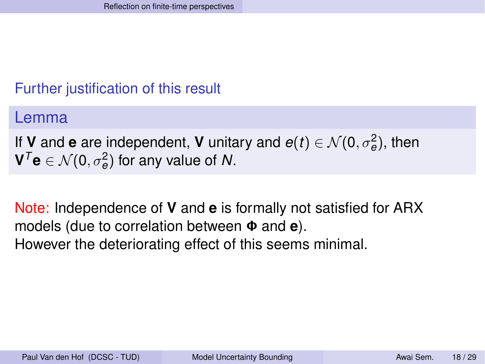#### Further justification of this result

Lemma

If **V** and **e** are independent, **V** unitary and  $e(t) \in \mathcal{N}(0, \sigma_e^2)$ , then  ${\mathbf V}^{\mathcal T} {\mathbf e} \in {\mathcal N}(0,\sigma_{\boldsymbol e}^2)$  for any value of  ${\mathcal N}.$ 

Note: Independence of **V** and **e** is formally not satisfied for ARX models (due to correlation between Φ and **e**). However the deteriorating effect of this seems minimal.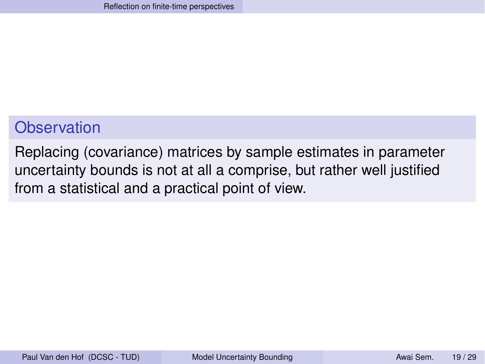### **Observation**

Replacing (covariance) matrices by sample estimates in parameter uncertainty bounds is not at all a comprise, but rather well justified from a statistical and a practical point of view.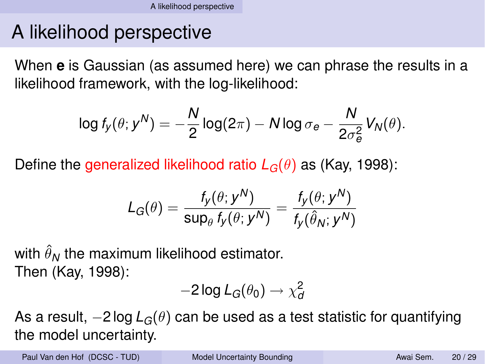# A likelihood perspective

When **e** is Gaussian (as assumed here) we can phrase the results in a likelihood framework, with the log-likelihood:

$$
\log f_y(\theta; y^N) = -\frac{N}{2} \log(2\pi) - N \log \sigma_e - \frac{N}{2\sigma_e^2} V_N(\theta).
$$

Define the generalized likelihood ratio  $L_G(\theta)$  as (Kay, 1998):

$$
\mathcal{L}_G(\theta) = \frac{f_{\mathcal{Y}}(\theta; \mathcal{y}^N)}{\mathsf{sup}_\theta \, f_{\mathcal{Y}}(\theta; \mathcal{y}^N)} = \frac{f_{\mathcal{Y}}(\theta; \mathcal{y}^N)}{f_{\mathcal{Y}}(\hat{\theta}_N; \mathcal{y}^N)}
$$

with  $\hat{\theta}_N$  the maximum likelihood estimator. Then (Kay, 1998):

$$
-2\log L_G(\theta_0)\to \chi_d^2
$$

As a result,  $-2 \log L_G(\theta)$  can be used as a test statistic for quantifying the model uncertainty.

Paul Van den Hof (DCSC - TUD) Model Uncertainty Bounding Awai Sem. 20/29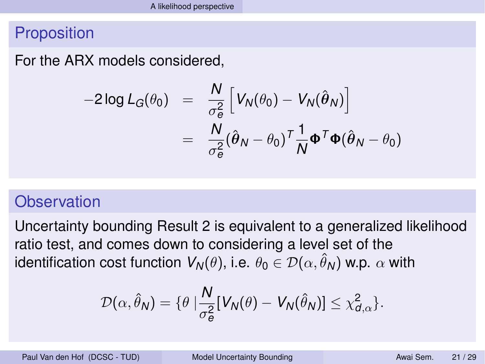#### **Proposition**

For the ARX models considered,

$$
-2 \log L_G(\theta_0) = \frac{N}{\sigma_e^2} \left[ V_N(\theta_0) - V_N(\hat{\theta}_N) \right]
$$
  
= 
$$
\frac{N}{\sigma_e^2} (\hat{\theta}_N - \theta_0)^T \frac{1}{N} \Phi^T \Phi(\hat{\theta}_N - \theta_0)
$$

### **Observation**

Uncertainty bounding Result 2 is equivalent to a generalized likelihood ratio test, and comes down to considering a level set of the identification cost function  $V_\mathsf{N}(\theta)$ , i.e.  $\theta_\mathsf{0}\in\mathcal{D}(\alpha,\hat{\theta}_\mathsf{N})$  w.p.  $\alpha$  with

$$
\mathcal{D}(\alpha,\hat{\theta}_N)=\{\theta\mid \frac{N}{\sigma_{\theta}^2}[V_N(\theta)-V_N(\hat{\theta}_N)]\leq \chi_{d,\alpha}^2\}.
$$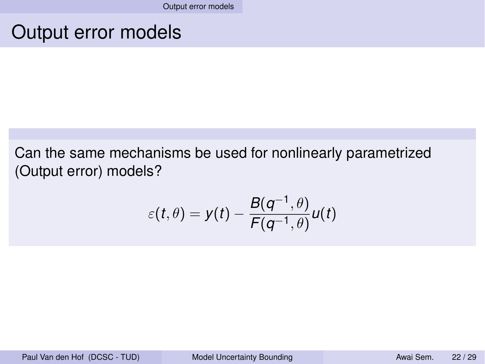## Output error models

Can the same mechanisms be used for nonlinearly parametrized (Output error) models?

$$
\varepsilon(t,\theta)=y(t)-\frac{B(q^{-1},\theta)}{F(q^{-1},\theta)}u(t)
$$

Paul Van den Hof (DCSC - TUD) Model Uncertainty Bounding Model Awai Sem. 22/29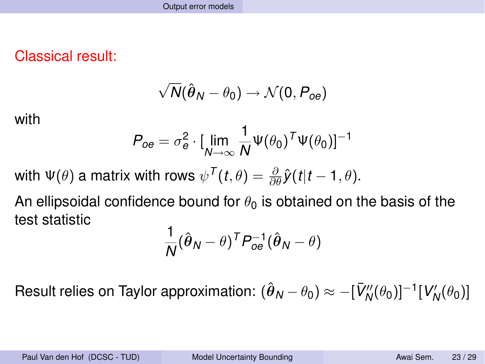Classical result:

$$
\sqrt{N}(\hat{\boldsymbol{\theta}}_N - \theta_0) \rightarrow \mathcal{N}(0, P_{oe})
$$

with

$$
P_{oe} = \sigma_e^2 \cdot [\lim_{N \to \infty} \frac{1}{N} \Psi(\theta_0)^T \Psi(\theta_0)]^{-1}
$$

with  $\Psi(\theta)$  a matrix with rows  $\psi^{\mathcal{T}}(t,\theta)=\frac{\partial}{\partial \theta}\hat{\mathcal{y}}(t|t-1,\theta).$ 

An ellipsoidal confidence bound for  $\theta_0$  is obtained on the basis of the test statistic

$$
\frac{1}{N}(\hat{\boldsymbol{\theta}}_N - \boldsymbol{\theta})^T P_{oe}^{-1}(\hat{\boldsymbol{\theta}}_N - \boldsymbol{\theta})
$$

Result relies on Taylor approximation:  $(\hat{\theta}_N-\theta_0)\approx -[\bar{V}''_N(\theta_0)]^{-1}[V'_N(\theta_0)]$ 

Paul Van den Hof (DCSC - TUD) Model Uncertainty Bounding New Awai Sem. 23/29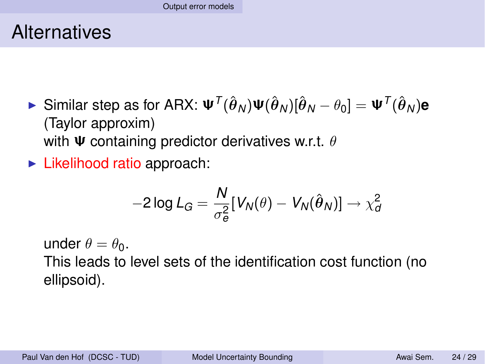## **Alternatives**

- ► Similar step as for ARX:  $\mathbf{\Psi}^{\mathsf{T}}(\hat{\boldsymbol{\theta}}_{N})\mathbf{\Psi}(\hat{\boldsymbol{\theta}}_{N})[\hat{\boldsymbol{\theta}}_{N}-\theta_{0}]=\mathbf{\Psi}^{\mathsf{T}}(\hat{\boldsymbol{\theta}}_{N})$ e (Taylor approxim) with  $\Psi$  containing predictor derivatives w.r.t.  $\theta$
- $\blacktriangleright$  Likelihood ratio approach:

$$
-2\log L_G = \frac{N}{\sigma_e^2} [V_N(\theta) - V_N(\hat{\theta}_N)] \rightarrow \chi_d^2
$$

under  $\theta = \theta_0$ . This leads to level sets of the identification cost function (no ellipsoid).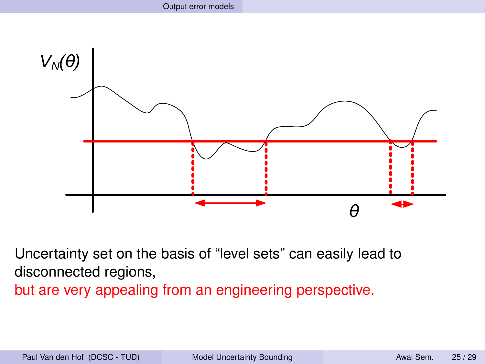

Uncertainty set on the basis of "level sets" can easily lead to disconnected regions, but are very appealing from an engineering perspective.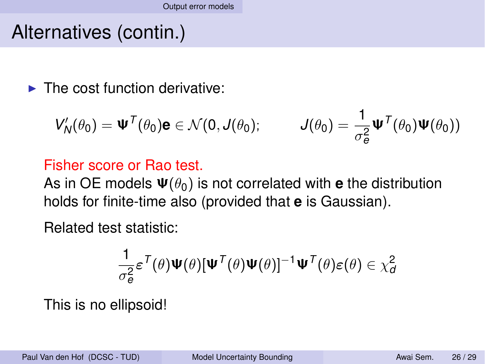## Alternatives (contin.)

 $\blacktriangleright$  The cost function derivative:

$$
V'_{N}(\theta_{0}) = \Psi^{T}(\theta_{0})\mathbf{e} \in \mathcal{N}(0,\boldsymbol{J}(\theta_{0}); \qquad \boldsymbol{J}(\theta_{0}) = \frac{1}{\sigma_{\mathbf{e}}^{2}}\Psi^{T}(\theta_{0})\Psi(\theta_{0}))
$$

#### Fisher score or Rao test.

As in OE models  $\Psi(\theta_0)$  is not correlated with **e** the distribution holds for finite-time also (provided that **e** is Gaussian).

Related test statistic:

$$
\frac{1}{\sigma_{\theta}^2}\varepsilon^{\mathcal{T}}(\theta)\Psi(\theta)[\Psi^{\mathcal{T}}(\theta)\Psi(\theta)]^{-1}\Psi^{\mathcal{T}}(\theta)\varepsilon(\theta)\in\chi_{d}^2
$$

This is no ellipsoid!

Paul Van den Hof (DCSC - TUD) Model Uncertainty Bounding Awai Sem. 26/29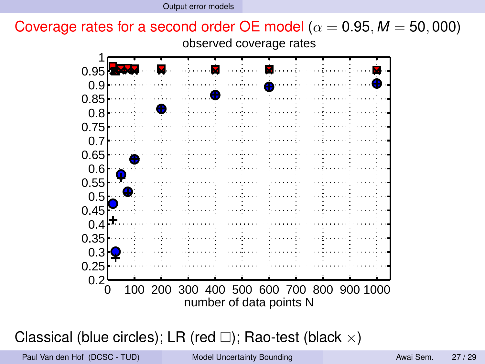

Classical (blue circles); LR (red  $\square$ ); Rao-test (black  $\times$ )

Paul Van den Hof (DCSC - TUD) Model Uncertainty Bounding Model Awai Sem. 27/29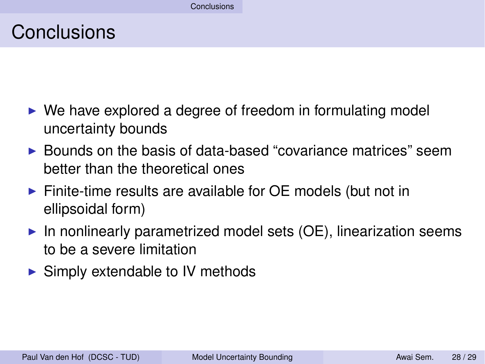## Conclusions

- $\triangleright$  We have explored a degree of freedom in formulating model uncertainty bounds
- $\triangleright$  Bounds on the basis of data-based "covariance matrices" seem better than the theoretical ones
- $\triangleright$  Finite-time results are available for OE models (but not in ellipsoidal form)
- $\triangleright$  In nonlinearly parametrized model sets (OE), linearization seems to be a severe limitation
- $\triangleright$  Simply extendable to IV methods